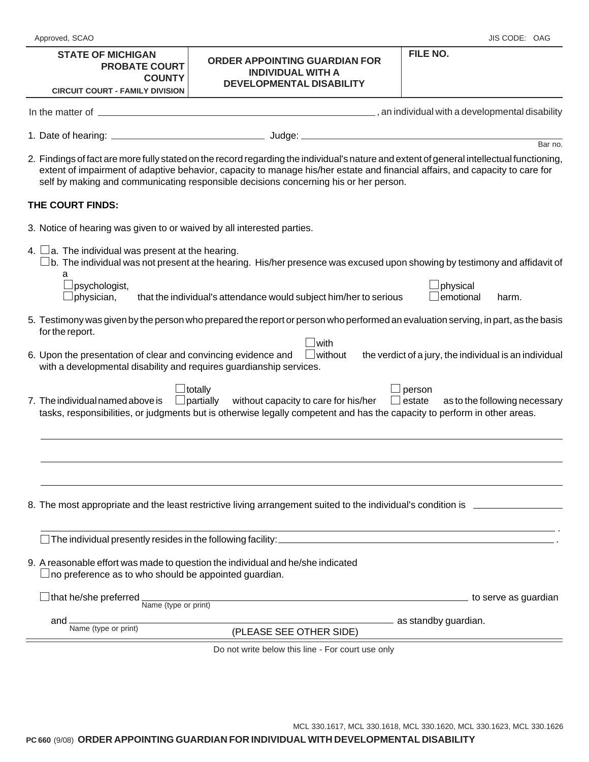## **STATE OF MICHIGAN PROBATE COURT COUNTY**

## **FILE NO. ORDER APPOINTING GUARDIAN FOR INDIVIDUAL WITH A DEVELOPMENTAL DISABILITY**

| <b>CIRCUIT COURT - FAMILY DIVISION</b>                                                                                               | UEVELUMINIAL DIƏADILI I                                                                                                                                                                                                                                                                                                                                           |                                                        |
|--------------------------------------------------------------------------------------------------------------------------------------|-------------------------------------------------------------------------------------------------------------------------------------------------------------------------------------------------------------------------------------------------------------------------------------------------------------------------------------------------------------------|--------------------------------------------------------|
|                                                                                                                                      |                                                                                                                                                                                                                                                                                                                                                                   |                                                        |
|                                                                                                                                      |                                                                                                                                                                                                                                                                                                                                                                   | Bar no.                                                |
|                                                                                                                                      | 2. Findings of fact are more fully stated on the record regarding the individual's nature and extent of general intellectual functioning,<br>extent of impairment of adaptive behavior, capacity to manage his/her estate and financial affairs, and capacity to care for<br>self by making and communicating responsible decisions concerning his or her person. |                                                        |
| THE COURT FINDS:                                                                                                                     |                                                                                                                                                                                                                                                                                                                                                                   |                                                        |
| 3. Notice of hearing was given to or waived by all interested parties.                                                               |                                                                                                                                                                                                                                                                                                                                                                   |                                                        |
| 4. $\Box$ a. The individual was present at the hearing.                                                                              | $\Box$ b. The individual was not present at the hearing. His/her presence was excused upon showing by testimony and affidavit of                                                                                                                                                                                                                                  |                                                        |
| a<br>psychologist,<br>physician,                                                                                                     | that the individual's attendance would subject him/her to serious                                                                                                                                                                                                                                                                                                 | physical<br>emotional<br>harm.                         |
| for the report.                                                                                                                      | 5. Testimony was given by the person who prepared the report or person who performed an evaluation serving, in part, as the basis                                                                                                                                                                                                                                 |                                                        |
| 6. Upon the presentation of clear and convincing evidence and<br>with a developmental disability and requires guardianship services. | with!<br>$\Box$ without                                                                                                                                                                                                                                                                                                                                           | the verdict of a jury, the individual is an individual |
| 7. The individual named above is                                                                                                     | <b>J</b> totally<br>$\Box$ partially without capacity to care for his/her<br>ப<br>tasks, responsibilities, or judgments but is otherwise legally competent and has the capacity to perform in other areas.                                                                                                                                                        | person<br>estate<br>as to the following necessary      |
|                                                                                                                                      |                                                                                                                                                                                                                                                                                                                                                                   |                                                        |
|                                                                                                                                      | 8. The most appropriate and the least restrictive living arrangement suited to the individual's condition is _                                                                                                                                                                                                                                                    |                                                        |
| The individual presently resides in the following facility:                                                                          |                                                                                                                                                                                                                                                                                                                                                                   |                                                        |
| $\!\!\!\Box$ no preference as to who should be appointed guardian.                                                                   | 9. A reasonable effort was made to question the individual and he/she indicated                                                                                                                                                                                                                                                                                   |                                                        |
| that he/she preferred<br>Name (type or print)                                                                                        |                                                                                                                                                                                                                                                                                                                                                                   | to serve as guardian                                   |
| and<br>Name (type or print)                                                                                                          | (PLEASE SEE OTHER SIDE)                                                                                                                                                                                                                                                                                                                                           | ____ as standby guardian.                              |
|                                                                                                                                      |                                                                                                                                                                                                                                                                                                                                                                   |                                                        |
|                                                                                                                                      | Do not write below this line - For court use only                                                                                                                                                                                                                                                                                                                 |                                                        |